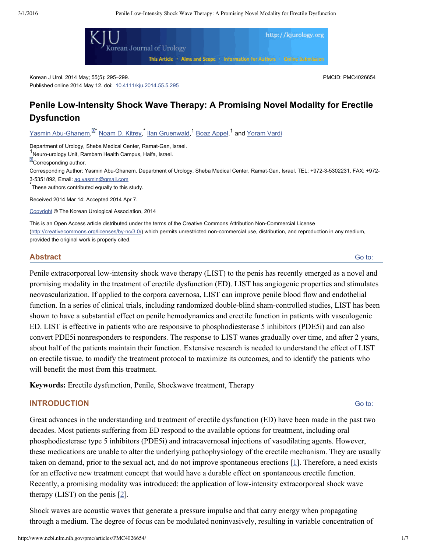

Korean J Urol. 2014 May; 55(5): 295–299. Published online 2014 May 12. doi: [10.4111/kju.2014.55.5.295](http://dx.doi.org/10.4111%2Fkju.2014.55.5.295) PMCID: PMC4026654

# **Penile LowIntensity Shock Wave Therapy: A Promising Novel Modality for Erectile Dysfunction**

Yasmin Abu-Ghanem.<sup>M</sup> [Noam](http://www.ncbi.nlm.nih.gov/pubmed/?term=Kitrey%20ND%5Bauth%5D) D. Kitrey,<sup>\*</sup> llan [Gruenwald,](http://www.ncbi.nlm.nih.gov/pubmed/?term=Gruenwald%20I%5Bauth%5D)<sup>1</sup> Boaz [Appel](http://www.ncbi.nlm.nih.gov/pubmed/?term=Appel%20B%5Bauth%5D),<sup>1</sup> and [Yoram](http://www.ncbi.nlm.nih.gov/pubmed/?term=Vardi%20Y%5Bauth%5D) Vardi

Department of Urology, Sheba Medical Center, Ramat-Gan, Israel.

1<br>Neuro-urology Unit, Rambam Health Campus, Haifa, Israel.

**X**Corresponding author.

Corresponding Author: Yasmin Abu-Ghanem. Department of Urology, Sheba Medical Center, Ramat-Gan, Israel. TEL: +972-3-5302231, FAX: +972-35351892, Email: [ag.yasmin@gmail.com](mailto:dev@null)

\*These authors contributed equally to this study.

Received 2014 Mar 14; Accepted 2014 Apr 7.

[Copyright](http://www.ncbi.nlm.nih.gov/pmc/about/copyright.html) © The Korean Urological Association, 2014

This is an Open Access article distributed under the terms of the Creative Commons Attribution Non-Commercial License (http://creativecommons.org/licenses/by-nc/3.0/) which permits unrestricted non-commercial use, distribution, and reproduction in any medium, provided the original work is properly cited.

#### **Abstract**

Penile extracorporeal low-intensity shock wave therapy (LIST) to the penis has recently emerged as a novel and promising modality in the treatment of erectile dysfunction (ED). LIST has angiogenic properties and stimulates neovascularization. If applied to the corpora cavernosa, LIST can improve penile blood flow and endothelial function. In a series of clinical trials, including randomized double-blind sham-controlled studies, LIST has been shown to have a substantial effect on penile hemodynamics and erectile function in patients with vasculogenic ED. LIST is effective in patients who are responsive to phosphodiesterase 5 inhibitors (PDE5i) and can also convert PDE5i nonresponders to responders. The response to LIST wanes gradually over time, and after 2 years, about half of the patients maintain their function. Extensive research is needed to understand the effect of LIST on erectile tissue, to modify the treatment protocol to maximize its outcomes, and to identify the patients who will benefit the most from this treatment.

**Keywords:** Erectile dysfunction, Penile, Shockwave treatment, Therapy

### **INTRODUCTION**

Great advances in the understanding and treatment of erectile dysfunction (ED) have been made in the past two decades. Most patients suffering from ED respond to the available options for treatment, including oral phosphodiesterase type 5 inhibitors (PDE5i) and intracavernosal injections of vasodilating agents. However, these medications are unable to alter the underlying pathophysiology of the erectile mechanism. They are usually taken on demand, prior to the sexual act, and do not improve spontaneous erections [\[1\]](#page-4-0). Therefore, a need exists for an effective new treatment concept that would have a durable effect on spontaneous erectile function. Recently, a promising modality was introduced: the application of low-intensity extracorporeal shock wave therapy (LIST) on the penis  $[2]$  $[2]$  $[2]$ .

Shock waves are acoustic waves that generate a pressure impulse and that carry energy when propagating through a medium. The degree of focus can be modulated noninvasively, resulting in variable concentration of

Go to:

Go to: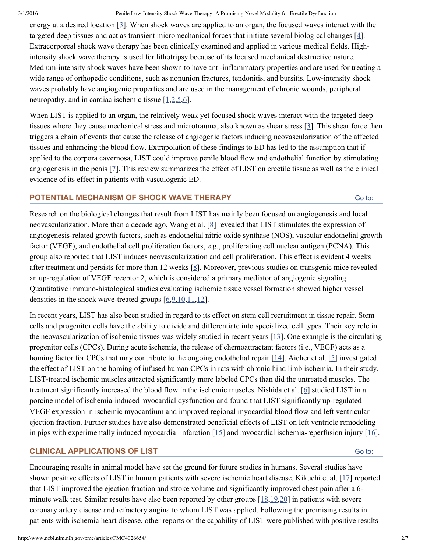energy at a desired location [\[3\]](#page-4-2). When shock waves are applied to an organ, the focused waves interact with the targeted deep tissues and act as transient micromechanical forces that initiate several biological changes [[4](#page-4-3)]. Extracorporeal shock wave therapy has been clinically examined and applied in various medical fields. Highintensity shock wave therapy is used for lithotripsy because of its focused mechanical destructive nature. Medium-intensity shock waves have been shown to have anti-inflammatory properties and are used for treating a wide range of orthopedic conditions, such as nonunion fractures, tendonitis, and bursitis. Low-intensity shock waves probably have angiogenic properties and are used in the management of chronic wounds, peripheral neuropathy, and in cardiac ischemic tissue [[1](#page-4-0),[2](#page-4-1)[,5,](#page-4-4)[6](#page-4-5)].

When LIST is applied to an organ, the relatively weak yet focused shock waves interact with the targeted deep tissues where they cause mechanical stress and microtrauma, also known as shear stress [\[3\]](#page-4-2). This shear force then triggers a chain of events that cause the release of angiogenic factors inducing neovascularization of the affected tissues and enhancing the blood flow. Extrapolation of these findings to ED has led to the assumption that if applied to the corpora cavernosa, LIST could improve penile blood flow and endothelial function by stimulating angiogenesis in the penis [\[7](#page-4-6)]. This review summarizes the effect of LIST on erectile tissue as well as the clinical evidence of its effect in patients with vasculogenic ED.

#### **POTENTIAL MECHANISM OF SHOCK WAVE THERAPY**

Research on the biological changes that result from LIST has mainly been focused on angiogenesis and local neovascularization. More than a decade ago, Wang et al. [[8\]](#page-5-0) revealed that LIST stimulates the expression of angiogenesis-related growth factors, such as endothelial nitric oxide synthase (NOS), vascular endothelial growth factor (VEGF), and endothelial cell proliferation factors, e.g., proliferating cell nuclear antigen (PCNA). This group also reported that LIST induces neovascularization and cell proliferation. This effect is evident 4 weeks after treatment and persists for more than 12 weeks [\[8\]](#page-5-0). Moreover, previous studies on transgenic mice revealed an up-regulation of VEGF receptor 2, which is considered a primary mediator of angiogenic signaling. Quantitative immunohistological studies evaluating ischemic tissue vessel formation showed higher vessel densities in the shock wave-treated groups  $[6,9,10,11,12]$  $[6,9,10,11,12]$  $[6,9,10,11,12]$  $[6,9,10,11,12]$  $[6,9,10,11,12]$  $[6,9,10,11,12]$  $[6,9,10,11,12]$ .

In recent years, LIST has also been studied in regard to its effect on stem cell recruitment in tissue repair. Stem cells and progenitor cells have the ability to divide and differentiate into specialized cell types. Their key role in the neovascularization of ischemic tissues was widely studied in recent years [\[13\]](#page-5-5). One example is the circulating progenitor cells (CPCs). During acute ischemia, the release of chemoattractant factors (i.e., VEGF) acts as a homing factor for CPCs that may contribute to the ongoing endothelial repair [\[14](#page-5-6)]. Aicher et al. [[5\]](#page-4-4) investigated the effect of LIST on the homing of infused human CPCs in rats with chronic hind limb ischemia. In their study, LIST-treated ischemic muscles attracted significantly more labeled CPCs than did the untreated muscles. The treatment significantly increased the blood flow in the ischemic muscles. Nishida et al. [\[6\]](#page-4-5) studied LIST in a porcine model of ischemia-induced myocardial dysfunction and found that LIST significantly up-regulated VEGF expression in ischemic myocardium and improved regional myocardial blood flow and left ventricular ejection fraction. Further studies have also demonstrated beneficial effects of LIST on left ventricle remodeling in pigs with experimentally induced myocardial infarction  $[15]$  $[15]$  and myocardial ischemia-reperfusion injury  $[16]$  $[16]$ .

### **CLINICAL APPLICATIONS OF LIST**

Go to:

Go to:

Encouraging results in animal model have set the ground for future studies in humans. Several studies have shown positive effects of LIST in human patients with severe ischemic heart disease. Kikuchi et al. [[17\]](#page-5-9) reported that LIST improved the ejection fraction and stroke volume and significantly improved chest pain after a 6 minute walk test. Similar results have also been reported by other groups [\[18](#page-5-10)[,19](#page-5-11)[,20](#page-5-12)] in patients with severe coronary artery disease and refractory angina to whom LIST was applied. Following the promising results in patients with ischemic heart disease, other reports on the capability of LIST were published with positive results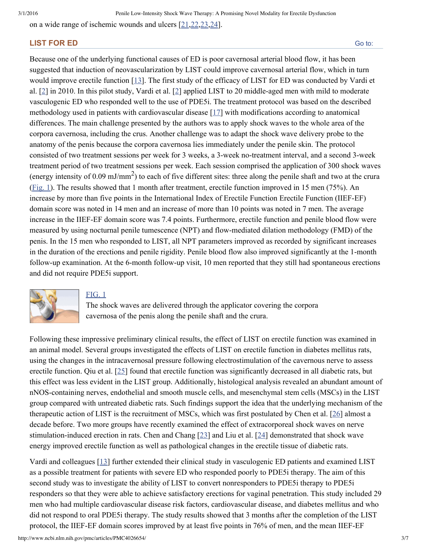on a wide range of ischemic wounds and ulcers [[21,](#page-5-13)[22,](#page-5-14)[23,](#page-5-15)[24\]](#page-6-0).

### **LIST FOR ED**

Because one of the underlying functional causes of ED is poor cavernosal arterial blood flow, it has been suggested that induction of neovascularization by LIST could improve cavernosal arterial flow, which in turn would improve erectile function [\[13](#page-5-5)]. The first study of the efficacy of LIST for ED was conducted by Vardi et al. [[2\]](#page-4-1) in 2010. In this pilot study, Vardi et al. [\[2\]](#page-4-1) applied LIST to 20 middleaged men with mild to moderate vasculogenic ED who responded well to the use of PDE5i. The treatment protocol was based on the described methodology used in patients with cardiovascular disease [[17](#page-5-9)] with modifications according to anatomical differences. The main challenge presented by the authors was to apply shock waves to the whole area of the corpora cavernosa, including the crus. Another challenge was to adapt the shock wave delivery probe to the anatomy of the penis because the corpora cavernosa lies immediately under the penile skin. The protocol consisted of two treatment sessions per week for 3 weeks, a 3-week no-treatment interval, and a second 3-week treatment period of two treatment sessions per week. Each session comprised the application of 300 shock waves (energy intensity of 0.09 mJ/mm<sup>2</sup>) to each of five different sites: three along the penile shaft and two at the crura [\(Fig.](http://www.ncbi.nlm.nih.gov/pmc/articles/PMC4026654/figure/F1/) 1). The results showed that 1 month after treatment, erectile function improved in 15 men (75%). An increase by more than five points in the International Index of Erectile Function Erectile Function (IIEF-EF) domain score was noted in 14 men and an increase of more than 10 points was noted in 7 men. The average increase in the IIEF-EF domain score was 7.4 points. Furthermore, erectile function and penile blood flow were measured by using nocturnal penile tumescence (NPT) and flow-mediated dilation methodology (FMD) of the penis. In the 15 men who responded to LIST, all NPT parameters improved as recorded by significant increases in the duration of the erections and penile rigidity. Penile blood flow also improved significantly at the 1-month follow-up examination. At the 6-month follow-up visit, 10 men reported that they still had spontaneous erections and did not require PDE5i support.



### [FIG.](http://www.ncbi.nlm.nih.gov/pmc/articles/PMC4026654/figure/F1/) 1

The shock waves are delivered through the applicator covering the corpora cavernosa of the penis along the penile shaft and the crura.

Following these impressive preliminary clinical results, the effect of LIST on erectile function was examined in an animal model. Several groups investigated the effects of LIST on erectile function in diabetes mellitus rats, using the changes in the intracavernosal pressure following electrostimulation of the cavernous nerve to assess erectile function. Qiu et al. [\[25](#page-6-1)] found that erectile function was significantly decreased in all diabetic rats, but this effect was less evident in the LIST group. Additionally, histological analysis revealed an abundant amount of nNOS-containing nerves, endothelial and smooth muscle cells, and mesenchymal stem cells (MSCs) in the LIST group compared with untreated diabetic rats. Such findings support the idea that the underlying mechanism of the therapeutic action of LIST is the recruitment of MSCs, which was first postulated by Chen et al. [[26\]](#page-6-2) almost a decade before. Two more groups have recently examined the effect of extracorporeal shock waves on nerve stimulation-induced erection in rats. Chen and Chang  $[23]$  $[23]$  and Liu et al.  $[24]$  $[24]$  demonstrated that shock wave energy improved erectile function as well as pathological changes in the erectile tissue of diabetic rats.

Vardi and colleagues [[13](#page-5-5)] further extended their clinical study in vasculogenic ED patients and examined LIST as a possible treatment for patients with severe ED who responded poorly to PDE5i therapy. The aim of this second study was to investigate the ability of LIST to convert nonresponders to PDE5i therapy to PDE5i responders so that they were able to achieve satisfactory erections for vaginal penetration. This study included 29 men who had multiple cardiovascular disease risk factors, cardiovascular disease, and diabetes mellitus and who did not respond to oral PDE5i therapy. The study results showed that 3 months after the completion of the LIST protocol, the IIEF-EF domain scores improved by at least five points in 76% of men, and the mean IIEF-EF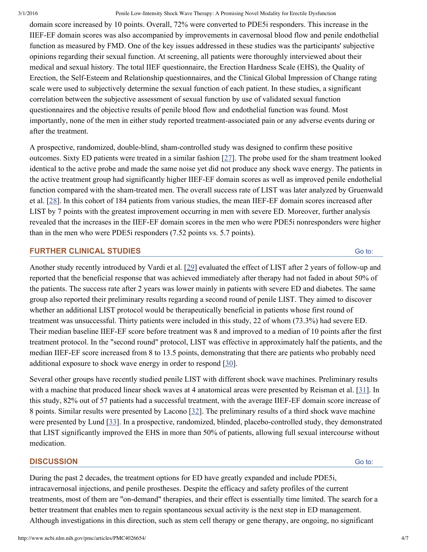domain score increased by 10 points. Overall, 72% were converted to PDE5i responders. This increase in the IIEFEF domain scores was also accompanied by improvements in cavernosal blood flow and penile endothelial function as measured by FMD. One of the key issues addressed in these studies was the participants' subjective opinions regarding their sexual function. At screening, all patients were thoroughly interviewed about their medical and sexual history. The total IIEF questionnaire, the Erection Hardness Scale (EHS), the Quality of Erection, the Self-Esteem and Relationship questionnaires, and the Clinical Global Impression of Change rating scale were used to subjectively determine the sexual function of each patient. In these studies, a significant correlation between the subjective assessment of sexual function by use of validated sexual function questionnaires and the objective results of penile blood flow and endothelial function was found. Most importantly, none of the men in either study reported treatment-associated pain or any adverse events during or after the treatment.

A prospective, randomized, double-blind, sham-controlled study was designed to confirm these positive outcomes. Sixty ED patients were treated in a similar fashion [[27\]](#page-6-3). The probe used for the sham treatment looked identical to the active probe and made the same noise yet did not produce any shock wave energy. The patients in the active treatment group had significantly higher IIEF-EF domain scores as well as improved penile endothelial function compared with the sham-treated men. The overall success rate of LIST was later analyzed by Gruenwald et al. [\[28\]](#page-6-4). In this cohort of 184 patients from various studies, the mean IIEF-EF domain scores increased after LIST by 7 points with the greatest improvement occurring in men with severe ED. Moreover, further analysis revealed that the increases in the IIEF-EF domain scores in the men who were PDE5i nonresponders were higher than in the men who were PDE5i responders (7.52 points vs. 5.7 points).

## **FURTHER CLINICAL STUDIES**

Another study recently introduced by Vardi et al. [[29\]](#page-6-5) evaluated the effect of LIST after 2 years of followup and reported that the beneficial response that was achieved immediately after therapy had not faded in about 50% of the patients. The success rate after 2 years was lower mainly in patients with severe ED and diabetes. The same group also reported their preliminary results regarding a second round of penile LIST. They aimed to discover whether an additional LIST protocol would be therapeutically beneficial in patients whose first round of treatment was unsuccessful. Thirty patients were included in this study, 22 of whom (73.3%) had severe ED. Their median baseline IIEF-EF score before treatment was 8 and improved to a median of 10 points after the first treatment protocol. In the "second round" protocol, LIST was effective in approximately half the patients, and the median IIEF-EF score increased from 8 to 13.5 points, demonstrating that there are patients who probably need additional exposure to shock wave energy in order to respond [\[30](#page-6-6)].

Several other groups have recently studied penile LIST with different shock wave machines. Preliminary results with a machine that produced linear shock waves at 4 anatomical areas were presented by Reisman et al. [[31\]](#page-6-7). In this study, 82% out of 57 patients had a successful treatment, with the average IIEF-EF domain score increase of 8 points. Similar results were presented by Lacono [\[32\]](#page-6-8). The preliminary results of a third shock wave machine were presented by Lund  $[33]$  $[33]$ . In a prospective, randomized, blinded, placebo-controlled study, they demonstrated that LIST significantly improved the EHS in more than 50% of patients, allowing full sexual intercourse without medication.

# **DISCUSSION**

Go to:

Go to:

During the past 2 decades, the treatment options for ED have greatly expanded and include PDE5i, intracavernosal injections, and penile prostheses. Despite the efficacy and safety profiles of the current treatments, most of them are "on-demand" therapies, and their effect is essentially time limited. The search for a better treatment that enables men to regain spontaneous sexual activity is the next step in ED management. Although investigations in this direction, such as stem cell therapy or gene therapy, are ongoing, no significant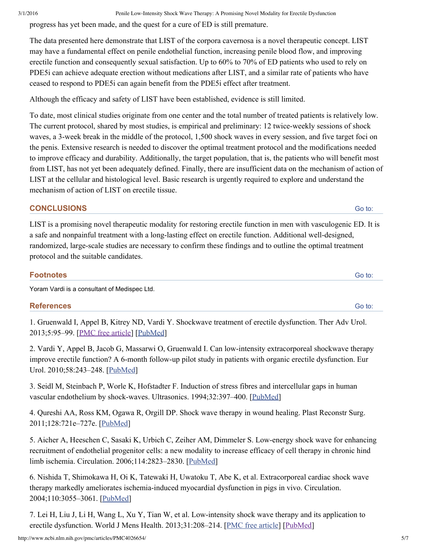progress has yet been made, and the quest for a cure of ED is still premature.

The data presented here demonstrate that LIST of the corpora cavernosa is a novel therapeutic concept. LIST may have a fundamental effect on penile endothelial function, increasing penile blood flow, and improving erectile function and consequently sexual satisfaction. Up to 60% to 70% of ED patients who used to rely on PDE5i can achieve adequate erection without medications after LIST, and a similar rate of patients who have ceased to respond to PDE5i can again benefit from the PDE5i effect after treatment.

Although the efficacy and safety of LIST have been established, evidence is still limited.

To date, most clinical studies originate from one center and the total number of treated patients is relatively low. The current protocol, shared by most studies, is empirical and preliminary: 12 twice-weekly sessions of shock waves, a 3-week break in the middle of the protocol, 1,500 shock waves in every session, and five target foci on the penis. Extensive research is needed to discover the optimal treatment protocol and the modifications needed to improve efficacy and durability. Additionally, the target population, that is, the patients who will benefit most from LIST, has not yet been adequately defined. Finally, there are insufficient data on the mechanism of action of LIST at the cellular and histological level. Basic research is urgently required to explore and understand the mechanism of action of LIST on erectile tissue.

# **CONCLUSIONS**

LIST is a promising novel therapeutic modality for restoring erectile function in men with vasculogenic ED. It is a safe and nonpainful treatment with a long-lasting effect on erectile function. Additional well-designed, randomized, large-scale studies are necessary to confirm these findings and to outline the optimal treatment protocol and the suitable candidates.

| <b>Footnotes</b>                             | Go to: |
|----------------------------------------------|--------|
| Yoram Vardi is a consultant of Medispec Ltd. |        |

### **References**

<span id="page-4-0"></span>1. Gruenwald I, Appel B, Kitrey ND, Vardi Y. Shockwave treatment of erectile dysfunction. Ther Adv Urol. 2013;5:95–99. [PMC free [article](http://www.ncbi.nlm.nih.gov/pmc/articles/PMC3607492/)] [[PubMed](http://www.ncbi.nlm.nih.gov/pubmed/23554844)]

<span id="page-4-1"></span>2. Vardi Y, Appel B, Jacob G, Massarwi O, Gruenwald I. Can low-intensity extracorporeal shockwave therapy improve erectile function? A 6-month follow-up pilot study in patients with organic erectile dysfunction. Eur Urol. 2010;58:243–248. [\[PubMed\]](http://www.ncbi.nlm.nih.gov/pubmed/20451317)

<span id="page-4-2"></span>3. Seidl M, Steinbach P, Worle K, Hofstadter F. Induction of stress fibres and intercellular gaps in human vascular endothelium by shock-waves. Ultrasonics. 1994;32:397-400. [[PubMed\]](http://www.ncbi.nlm.nih.gov/pubmed/8079400)

<span id="page-4-3"></span>4. Qureshi AA, Ross KM, Ogawa R, Orgill DP. Shock wave therapy in wound healing. Plast Reconstr Surg. 2011;128:721e–727e. [[PubMed](http://www.ncbi.nlm.nih.gov/pubmed/21841528)]

<span id="page-4-4"></span>5. Aicher A, Heeschen C, Sasaki K, Urbich C, Zeiher AM, Dimmeler S. Lowenergy shock wave for enhancing recruitment of endothelial progenitor cells: a new modality to increase efficacy of cell therapy in chronic hind limb ischemia. Circulation. 2006;114:2823–2830. [[PubMed\]](http://www.ncbi.nlm.nih.gov/pubmed/17145991)

<span id="page-4-5"></span>6. Nishida T, Shimokawa H, Oi K, Tatewaki H, Uwatoku T, Abe K, et al. Extracorporeal cardiac shock wave therapy markedly ameliorates ischemia-induced myocardial dysfunction in pigs in vivo. Circulation. 2004;110:3055–3061. [[PubMed\]](http://www.ncbi.nlm.nih.gov/pubmed/15520304)

<span id="page-4-6"></span>7. Lei H, Liu J, Li H, Wang L, Xu Y, Tian W, et al. Lowintensity shock wave therapy and its application to erectile dysfunction. World J Mens Health. 2013;31:208-214. [PMC free [article](http://www.ncbi.nlm.nih.gov/pmc/articles/PMC3888889/)] [[PubMed](http://www.ncbi.nlm.nih.gov/pubmed/24459653)]

Go to:

Go to: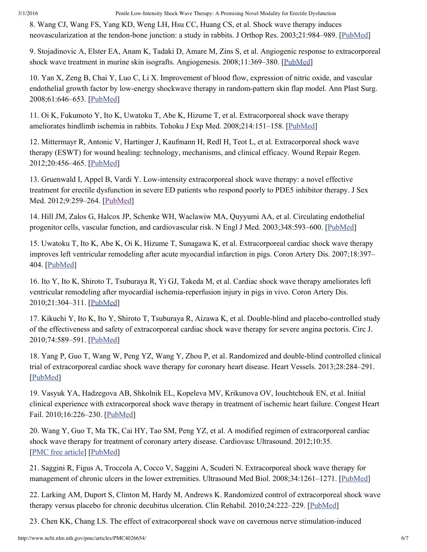<span id="page-5-0"></span>8. Wang CJ, Wang FS, Yang KD, Weng LH, Hsu CC, Huang CS, et al. Shock wave therapy induces neovascularization at the tendon-bone junction: a study in rabbits. J Orthop Res. 2003;21:984–989. [\[PubMed\]](http://www.ncbi.nlm.nih.gov/pubmed/14554209)

<span id="page-5-1"></span>9. Stojadinovic A, Elster EA, Anam K, Tadaki D, Amare M, Zins S, et al. Angiogenic response to extracorporeal shock wave treatment in murine skin isografts. Angiogenesis. 2008;11:369–380. [\[PubMed\]](http://www.ncbi.nlm.nih.gov/pubmed/18998221)

<span id="page-5-2"></span>10. Yan X, Zeng B, Chai Y, Luo C, Li X. Improvement of blood flow, expression of nitric oxide, and vascular endothelial growth factor by low-energy shockwave therapy in random-pattern skin flap model. Ann Plast Surg. 2008;61:646–653. [\[PubMed\]](http://www.ncbi.nlm.nih.gov/pubmed/19034081)

<span id="page-5-3"></span>11. Oi K, Fukumoto Y, Ito K, Uwatoku T, Abe K, Hizume T, et al. Extracorporeal shock wave therapy ameliorates hindlimb ischemia in rabbits. Tohoku J Exp Med. 2008;214:151–158. [[PubMed](http://www.ncbi.nlm.nih.gov/pubmed/18285673)]

<span id="page-5-4"></span>12. Mittermayr R, Antonic V, Hartinger J, Kaufmann H, Redl H, Teot L, et al. Extracorporeal shock wave therapy (ESWT) for wound healing: technology, mechanisms, and clinical efficacy. Wound Repair Regen. 2012;20:456–465. [\[PubMed\]](http://www.ncbi.nlm.nih.gov/pubmed/22642362)

<span id="page-5-5"></span>13. Gruenwald I, Appel B, Vardi Y. Lowintensity extracorporeal shock wave therapy: a novel effective treatment for erectile dysfunction in severe ED patients who respond poorly to PDE5 inhibitor therapy. J Sex Med. 2012;9:259–264. [[PubMed](http://www.ncbi.nlm.nih.gov/pubmed/22008059)]

<span id="page-5-6"></span>14. Hill JM, Zalos G, Halcox JP, Schenke WH, Waclawiw MA, Quyyumi AA, et al. Circulating endothelial progenitor cells, vascular function, and cardiovascular risk. N Engl J Med. 2003;348:593–600. [\[PubMed\]](http://www.ncbi.nlm.nih.gov/pubmed/12584367)

<span id="page-5-7"></span>15. Uwatoku T, Ito K, Abe K, Oi K, Hizume T, Sunagawa K, et al. Extracorporeal cardiac shock wave therapy improves left ventricular remodeling after acute myocardial infarction in pigs. Coron Artery Dis. 2007;18:397– 404. [\[PubMed](http://www.ncbi.nlm.nih.gov/pubmed/17627190)]

<span id="page-5-8"></span>16. Ito Y, Ito K, Shiroto T, Tsuburaya R, Yi GJ, Takeda M, et al. Cardiac shock wave therapy ameliorates left ventricular remodeling after myocardial ischemia-reperfusion injury in pigs in vivo. Coron Artery Dis. 2010;21:304–311. [\[PubMed\]](http://www.ncbi.nlm.nih.gov/pubmed/20617568)

<span id="page-5-9"></span>17. Kikuchi Y, Ito K, Ito Y, Shiroto T, Tsuburaya R, Aizawa K, et al. Double-blind and placebo-controlled study of the effectiveness and safety of extracorporeal cardiac shock wave therapy for severe angina pectoris. Circ J. 2010;74:589–591. [\[PubMed\]](http://www.ncbi.nlm.nih.gov/pubmed/20134096)

<span id="page-5-10"></span>18. Yang P, Guo T, Wang W, Peng YZ, Wang Y, Zhou P, et al. Randomized and double-blind controlled clinical trial of extracorporeal cardiac shock wave therapy for coronary heart disease. Heart Vessels. 2013;28:284–291. [\[PubMed\]](http://www.ncbi.nlm.nih.gov/pubmed/22457097)

<span id="page-5-11"></span>19. Vasyuk YA, Hadzegova AB, Shkolnik EL, Kopeleva MV, Krikunova OV, Iouchtchouk EN, et al. Initial clinical experience with extracorporeal shock wave therapy in treatment of ischemic heart failure. Congest Heart Fail. 2010;16:226–230. [\[PubMed\]](http://www.ncbi.nlm.nih.gov/pubmed/20887620)

<span id="page-5-12"></span>20. Wang Y, Guo T, Ma TK, Cai HY, Tao SM, Peng YZ, et al. A modified regimen of extracorporeal cardiac shock wave therapy for treatment of coronary artery disease. Cardiovasc Ultrasound. 2012;10:35. [PMC free [article\]](http://www.ncbi.nlm.nih.gov/pmc/articles/PMC3537548/) [\[PubMed](http://www.ncbi.nlm.nih.gov/pubmed/22898340)]

<span id="page-5-13"></span>21. Saggini R, Figus A, Troccola A, Cocco V, Saggini A, Scuderi N. Extracorporeal shock wave therapy for management of chronic ulcers in the lower extremities. Ultrasound Med Biol. 2008;34:1261–1271. [[PubMed\]](http://www.ncbi.nlm.nih.gov/pubmed/18394777)

<span id="page-5-14"></span>22. Larking AM, Duport S, Clinton M, Hardy M, Andrews K. Randomized control of extracorporeal shock wave therapy versus placebo for chronic decubitus ulceration. Clin Rehabil. 2010;24:222–229. [\[PubMed\]](http://www.ncbi.nlm.nih.gov/pubmed/20156981)

<span id="page-5-15"></span>23. Chen KK, Chang LS. The effect of extracorporeal shock wave on cavernous nerve stimulation-induced